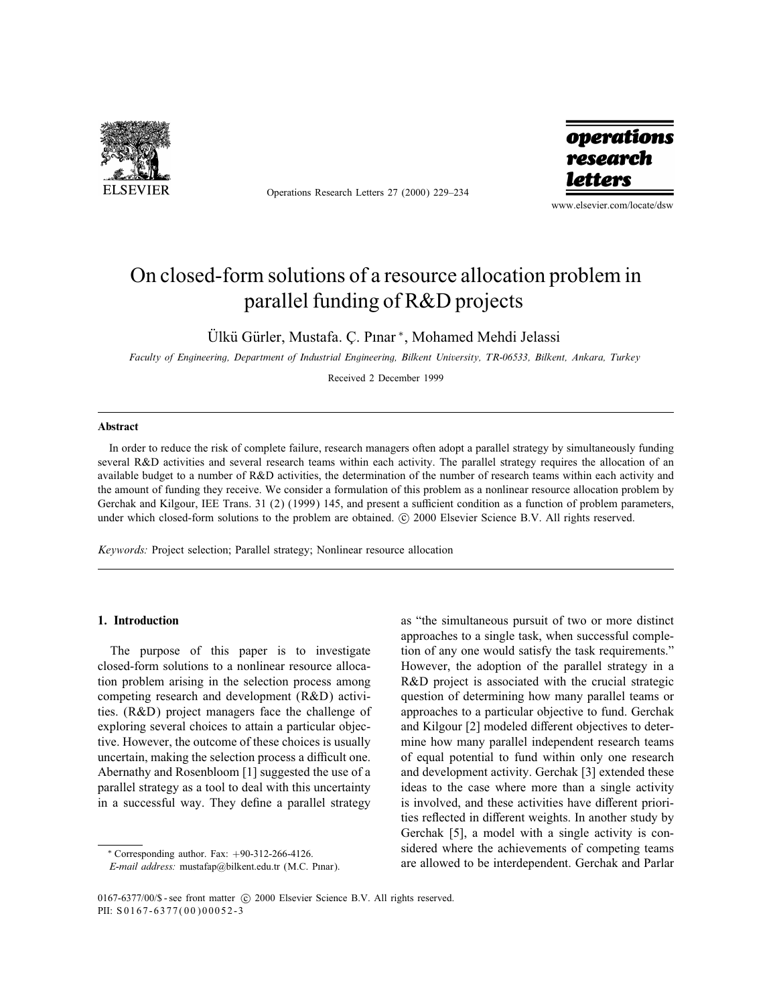

Operations Research Letters 27 (2000) 229–234



www.elsevier.com/locate/dsw

# On closed-form solutions of a resource allocation problem in parallel funding of R&D projects

Ülkü Gürler, Mustafa. Ç. Pınar \*, Mohamed Mehdi Jelassi

Faculty of Engineering, Department of Industrial Engineering, Bilkent University, TR-06533, Bilkent, Ankara, Turkey

Received 2 December 1999

#### Abstract

In order to reduce the risk of complete failure, research managers often adopt a parallel strategy by simultaneously funding several R&D activities and several research teams within each activity. The parallel strategy requires the allocation of an available budget to a number of R&D activities, the determination of the number of research teams within each activity and the amount of funding they receive. We consider a formulation of this problem as a nonlinear resource allocation problem by Gerchak and Kilgour, IEE Trans. 31 (2) (1999) 145, and present a sufficient condition as a function of problem parameters, under which closed-form solutions to the problem are obtained. © 2000 Elsevier Science B.V. All rights reserved.

Keywords: Project selection; Parallel strategy; Nonlinear resource allocation

## 1. Introduction

The purpose of this paper is to investigate closed-form solutions to a nonlinear resource allocation problem arising in the selection process among competing research and development (R&D) activities. (R&D) project managers face the challenge of exploring several choices to attain a particular objective. However, the outcome of these choices is usually uncertain, making the selection process a difficult one. Abernathy and Rosenbloom [1] suggested the use of a parallel strategy as a tool to deal with this uncertainty in a successful way. They define a parallel strategy as "the simultaneous pursuit of two or more distinct approaches to a single task, when successful completion of any one would satisfy the task requirements." However, the adoption of the parallel strategy in a R&D project is associated with the crucial strategic question of determining how many parallel teams or approaches to a particular objective to fund. Gerchak and Kilgour [2] modeled different objectives to determine how many parallel independent research teams of equal potential to fund within only one research and development activity. Gerchak [3] extended these ideas to the case where more than a single activity is involved, and these activities have different priorities reflected in different weights. In another study by Gerchak [5], a model with a single activity is considered where the achievements of competing teams are allowed to be interdependent. Gerchak and Parlar

<sup>∗</sup> Corresponding author. Fax: +90-312-266-4126.

E-mail address: mustafap@bilkent.edu.tr (M.C. Pnar).

<sup>0167-6377/00/\$ -</sup> see front matter (c) 2000 Elsevier Science B.V. All rights reserved. PII: S 0167-6377(00)00052-3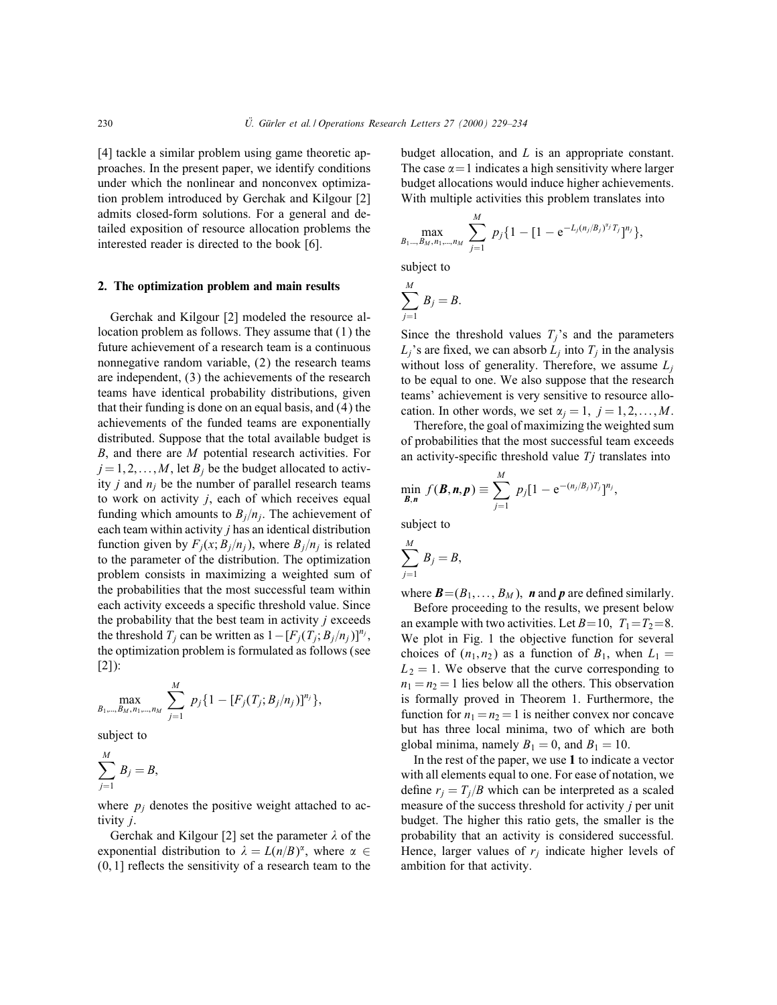[4] tackle a similar problem using game theoretic approaches. In the present paper, we identify conditions under which the nonlinear and nonconvex optimization problem introduced by Gerchak and Kilgour [2] admits closed-form solutions. For a general and detailed exposition of resource allocation problems the interested reader is directed to the book [6].

#### 2. The optimization problem and main results

Gerchak and Kilgour [2] modeled the resource allocation problem as follows. They assume that (1) the future achievement of a research team is a continuous nonnegative random variable, (2) the research teams are independent, (3) the achievements of the research teams have identical probability distributions, given that their funding is done on an equal basis, and (4) the achievements of the funded teams are exponentially distributed. Suppose that the total available budget is  $B$ , and there are  $M$  potential research activities. For  $j = 1, 2, \ldots, M$ , let  $B_j$  be the budget allocated to activity *j* and  $n_i$  be the number of parallel research teams to work on activity  $j$ , each of which receives equal funding which amounts to  $B_i/n_i$ . The achievement of each team within activity *j* has an identical distribution function given by  $F_i(x; B_i/n_i)$ , where  $B_i/n_i$  is related to the parameter of the distribution. The optimization problem consists in maximizing a weighted sum of the probabilities that the most successful team within each activity exceeds a specic threshold value. Since the probability that the best team in activity  $j$  exceeds the threshold  $T_j$  can be written as  $1 - [F_j(T_j; B_j/n_j)]^{n_j}$ , the optimization problem is formulated as follows (see [2]):

$$
\max_{B_1,\dots,B_M,n_1,\dots,n_M} \sum_{j=1}^M p_j \{1-[F_j(T_j;B_j/n_j)]^{n_j}\},
$$

subject to

$$
\sum_{j=1}^M B_j = B,
$$

where  $p_i$  denotes the positive weight attached to activity j.

Gerchak and Kilgour [2] set the parameter  $\lambda$  of the exponential distribution to  $\lambda = L(n/B)^{\alpha}$ , where  $\alpha \in$  $(0, 1]$  reflects the sensitivity of a research team to the

budget allocation, and L is an appropriate constant. The case  $\alpha = 1$  indicates a high sensitivity where larger budget allocations would induce higher achievements. With multiple activities this problem translates into

$$
\max_{B_1\ldots,B_M,n_1,\ldots,n_M}\sum_{j=1}^M p_j\{1-[1-e^{-L_j(n_j/B_j)^{x_j}T_j}]^{n_j}\},
$$

subject to

$$
\sum_{j=1}^M B_j = B.
$$

Since the threshold values  $T_i$ 's and the parameters  $L_i$ 's are fixed, we can absorb  $L_i$  into  $T_i$  in the analysis without loss of generality. Therefore, we assume  $L_i$ to be equal to one. We also suppose that the research teams' achievement is very sensitive to resource allocation. In other words, we set  $\alpha_j = 1, j = 1, 2, \ldots, M$ .

Therefore, the goal of maximizing the weighted sum of probabilities that the most successful team exceeds an activity-specific threshold value  $Tj$  translates into

$$
\min_{\bm{B},\bm{n}} f(\bm{B},\bm{n},\bm{p}) \equiv \sum_{j=1}^M p_j [1 - e^{-(n_j/B_j)T_j}]^{n_j},
$$

subject to

$$
\sum_{j=1}^M B_j = B,
$$

where  $\mathbf{B} = (B_1, \ldots, B_M)$ , **n** and **p** are defined similarly.

Before proceeding to the results, we present below an example with two activities. Let  $B=10$ ,  $T_1=T_2=8$ . We plot in Fig. 1 the objective function for several choices of  $(n_1, n_2)$  as a function of  $B_1$ , when  $L_1 =$  $L_2 = 1$ . We observe that the curve corresponding to  $n_1 = n_2 = 1$  lies below all the others. This observation is formally proved in Theorem 1. Furthermore, the function for  $n_1 = n_2 = 1$  is neither convex nor concave but has three local minima, two of which are both global minima, namely  $B_1 = 0$ , and  $B_1 = 10$ .

In the rest of the paper, we use 1 to indicate a vector with all elements equal to one. For ease of notation, we define  $r_i = T_i/B$  which can be interpreted as a scaled measure of the success threshold for activity  $j$  per unit budget. The higher this ratio gets, the smaller is the probability that an activity is considered successful. Hence, larger values of  $r_i$  indicate higher levels of ambition for that activity.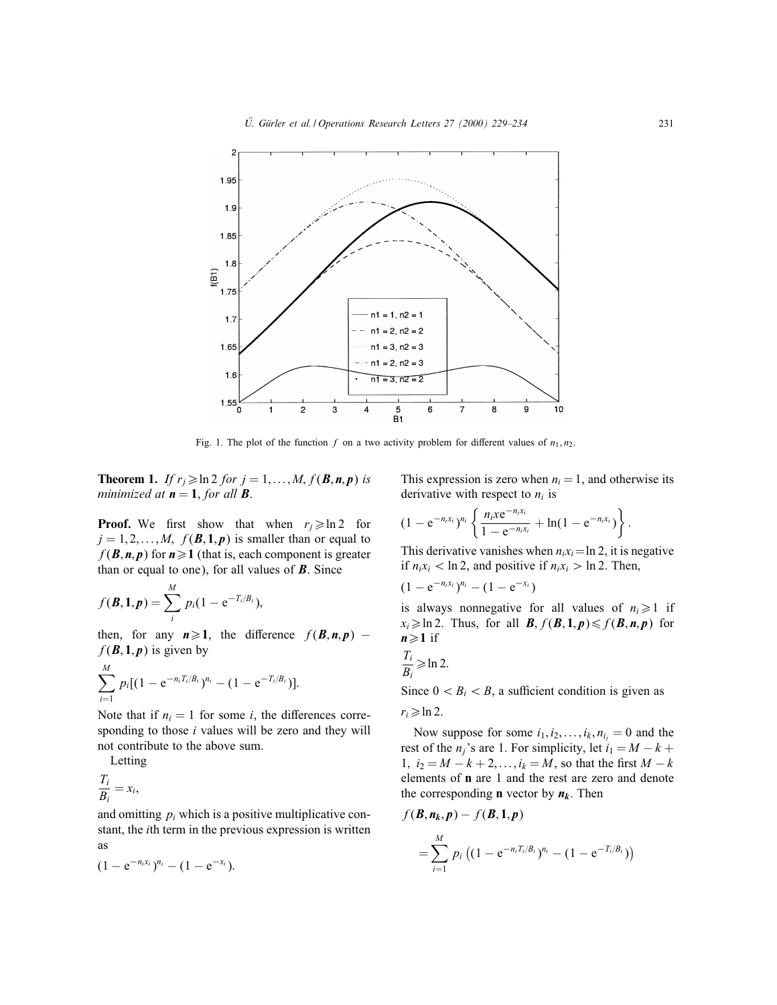

Fig. 1. The plot of the function f on a two activity problem for different values of  $n_1, n_2$ .

**Theorem 1.** If  $r_j \geqslant \ln 2$  for  $j = 1, ..., M, f(B, n, p)$  is minimized at  $n = 1$ , for all **B**.

**Proof.** We first show that when  $r_i \geqslant \ln 2$  for  $j = 1, 2, \ldots, M$ ,  $f(\mathbf{B}, 1, p)$  is smaller than or equal to  $f(\mathbf{B}, \mathbf{n}, \mathbf{p})$  for  $\mathbf{n} \geq 1$  (that is, each component is greater than or equal to one), for all values of  $\bm{B}$ . Since

$$
f(\mathbf{B}, \mathbf{1}, \mathbf{p}) = \sum_{i}^{M} p_i (1 - e^{-T_i/B_i}),
$$

then, for any  $n \ge 1$ , the difference  $f(B, n, p)$  –  $f(\mathbf{B}, \mathbf{1}, \mathbf{p})$  is given by

$$
\sum_{i=1}^M p_i [(1 - e^{-n_i T_i/B_i})^{n_i} - (1 - e^{-T_i/B_i})].
$$

Note that if  $n_i = 1$  for some *i*, the differences corresponding to those *i* values will be zero and they will not contribute to the above sum.

Letting

$$
\frac{T_i}{B_i} = x_i,
$$

and omitting  $p_i$  which is a positive multiplicative constant, the ith term in the previous expression is written as

$$
(1-e^{-n_i x_i})^{n_i}-(1-e^{-x_i}).
$$

This expression is zero when  $n<sub>i</sub> = 1$ , and otherwise its derivative with respect to  $n_i$  is

$$
(1-e^{-n_i x_i})^{n_i} \left\{ \frac{n_i x e^{-n_i x_i}}{1-e^{-n_i x_i}} + \ln(1-e^{-n_i x_i}) \right\}.
$$

This derivative vanishes when  $n_i x_i = \ln 2$ , it is negative if  $n_i x_i < \ln 2$ , and positive if  $n_i x_i > \ln 2$ . Then,

$$
(1-e^{-n_ix_i})^{n_i}-(1-e^{-x_i})
$$

is always nonnegative for all values of  $n_i \geq 1$  if  $x_i \geqslant \ln 2$ . Thus, for all **B**,  $f(\mathbf{B}, \mathbf{1}, \mathbf{p}) \leqslant f(\mathbf{B}, \mathbf{n}, \mathbf{p})$  for  $n \geq 1$  if

$$
\frac{T_i}{B_i} \geqslant \ln 2.
$$

Since  $0 < B_i < B$ , a sufficient condition is given as

$$
r_i\!\geqslant\! \ln 2.
$$

Now suppose for some  $i_1, i_2, \ldots, i_k, n_{i_j} = 0$  and the rest of the n<sub>j</sub>'s are 1. For simplicity, let  $i_1 = M - k +$ 1,  $i_2 = M - k + 2, \ldots, i_k = M$ , so that the first  $M - k$ elements of n are 1 and the rest are zero and denote the corresponding **n** vector by  $n_k$ . Then

$$
f(\mathbf{B}, \mathbf{n}_k, \mathbf{p}) - f(\mathbf{B}, \mathbf{1}, \mathbf{p})
$$
  
= 
$$
\sum_{i=1}^{M} p_i \left( (1 - e^{-n_i T_i/\beta_i})^{n_i} - (1 - e^{-T_i/\beta_i}) \right)
$$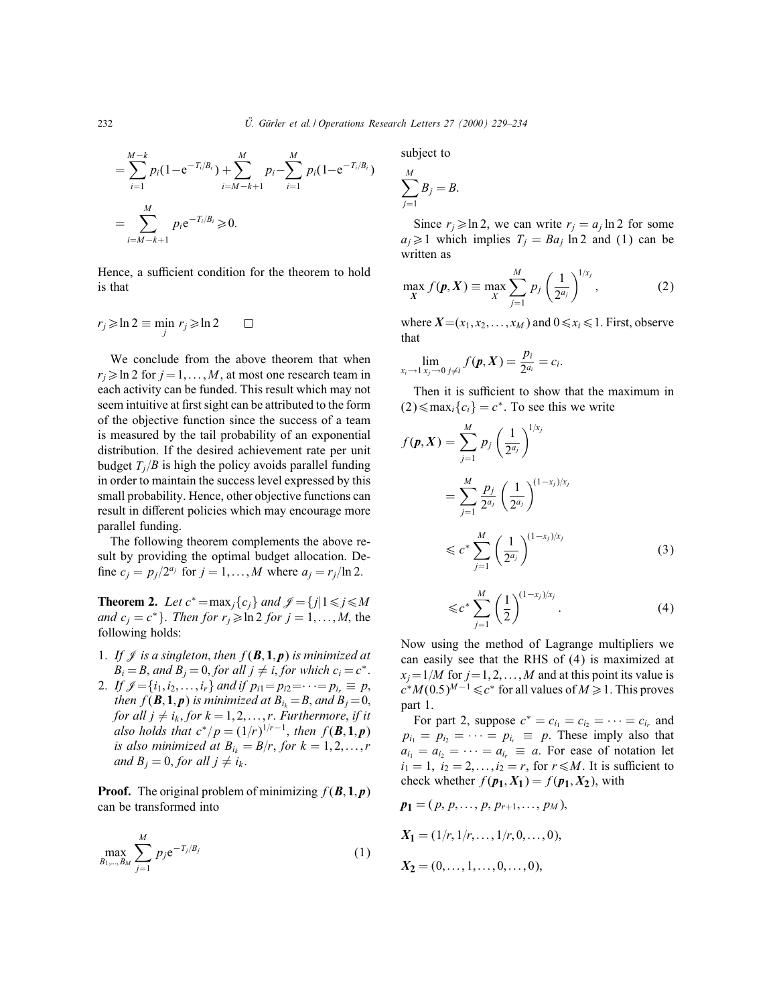$$
= \sum_{i=1}^{M-k} p_i (1 - e^{-T_i/B_i}) + \sum_{i=M-k+1}^{M} p_i - \sum_{i=1}^{M} p_i (1 - e^{-T_i/B_i})
$$
  
= 
$$
\sum_{i=M-k+1}^{M} p_i e^{-T_i/B_i} \ge 0.
$$

Hence, a sufficient condition for the theorem to hold is that

$$
r_j \geqslant \ln 2 \equiv \min_j r_j \geqslant \ln 2 \qquad \Box
$$

We conclude from the above theorem that when  $r_i \geqslant \ln 2$  for  $j = 1, \ldots, M$ , at most one research team in each activity can be funded. This result which may not seem intuitive at first sight can be attributed to the form of the objective function since the success of a team is measured by the tail probability of an exponential distribution. If the desired achievement rate per unit budget  $T_i/B$  is high the policy avoids parallel funding in order to maintain the success level expressed by this small probability. Hence, other objective functions can result in different policies which may encourage more parallel funding.

The following theorem complements the above result by providing the optimal budget allocation. De fine  $c_j = p_j/2^{a_j}$  for  $j = 1, \ldots, M$  where  $a_j = r_j/\ln 2$ .

**Theorem 2.** Let  $c^* = \max_i \{c_i\}$  and  $\mathcal{J} = \{j | 1 \leq j \leq M\}$ and  $c_i = c^*$ . Then for  $r_i \geq \ln 2$  for  $j = 1, ..., M$ , the following holds:

- 1. If  $\mathcal J$  is a singleton, then  $f(\mathcal B,1,p)$  is minimized at  $B_i = B$ , and  $B_i = 0$ , for all  $j \neq i$ , for which  $c_i = c^*$ .
- 2. If  $\mathcal{J}=\{i_1,i_2,\ldots,i_r\}$  and if  $p_{i1}=p_{i2}=\cdots=p_{i_r}\equiv p$ , then  $f(\mathbf{B}, \mathbf{1}, \mathbf{p})$  is minimized at  $B_{i_k} = B$ , and  $B_j = 0$ , for all  $j \neq i_k$ , for  $k = 1, 2, \ldots, r$ . Furthermore, if it also holds that  $c^*/p = (1/r)^{1/r-1}$ , then  $f(\mathbf{B}, 1, p)$ is also minimized at  $B_{i_k} = B/r$ , for  $k = 1, 2, \ldots, r$ and  $B_i = 0$ , for all  $j \neq i_k$ .

**Proof.** The original problem of minimizing  $f(\mathbf{B}, 1, p)$ can be transformed into

$$
\max_{B_1,\dots,B_M} \sum_{j=1}^M p_j e^{-T_j/B_j}
$$
 (1)

subject to

$$
\sum_{j=1}^M B_j = B.
$$

Since  $r_i \geq \ln 2$ , we can write  $r_i = a_i \ln 2$  for some  $a_i \geq 1$  which implies  $T_i = Ba_i \ln 2$  and (1) can be written as

$$
\max_{X} f(\boldsymbol{p}, X) \equiv \max_{X} \sum_{j=1}^{M} p_j \left(\frac{1}{2^{a_j}}\right)^{1/x_j}, \tag{2}
$$

where  $X=(x_1, x_2,...,x_M)$  and  $0 \le x_i \le 1$ . First, observe that

$$
\lim_{x_i \to 1} \lim_{x_j \to 0} \lim_{j \neq i} f(p, X) = \frac{p_i}{2^{a_i}} = c_i.
$$

 $\sim$ 

Then it is sufficient to show that the maximum in  $(2) \leq max_i \{c_i\} = c^*$ . To see this we write

$$
f(\mathbf{p}, X) = \sum_{j=1}^{M} p_j \left(\frac{1}{2^{a_j}}\right)^{1/x_j}
$$
  
= 
$$
\sum_{j=1}^{M} \frac{p_j}{2^{a_j}} \left(\frac{1}{2^{a_j}}\right)^{(1-x_j)/x_j}
$$
  

$$
\leq c^* \sum_{j=1}^{M} \left(\frac{1}{2^{a_j}}\right)^{(1-x_j)/x_j}
$$
(3)

$$
\leqslant c^* \sum_{j=1}^M \left(\frac{1}{2}\right)^{(1-x_j)/x_j}.\tag{4}
$$

Now using the method of Lagrange multipliers we can easily see that the RHS of (4) is maximized at  $x_j=1/M$  for  $j=1, 2, \ldots, M$  and at this point its value is  $c^*M(0.5)^{M-1}\leq c^*$  for all values of  $M\geq 1$ . This proves part 1.

For part 2, suppose  $c^* = c_{i_1} = c_{i_2} = \cdots = c_{i_r}$  and  $p_{i_1} = p_{i_2} = \cdots = p_{i_r} \equiv p$ . These imply also that  $a_{i_1} = a_{i_2} = \cdots = a_{i_r} \equiv a$ . For ease of notation let  $i_1 = 1, i_2 = 2,...,i_2 = r$ , for  $r \le M$ . It is sufficient to check whether  $f(p_1, X_1) = f(p_1, X_2)$ , with

$$
p_1 = (p, p, \dots, p, p_{r+1}, \dots, p_M),
$$
  
\n
$$
X_1 = (1/r, 1/r, \dots, 1/r, 0, \dots, 0),
$$
  
\n
$$
X_2 = (0, \dots, 1, \dots, 0, \dots, 0),
$$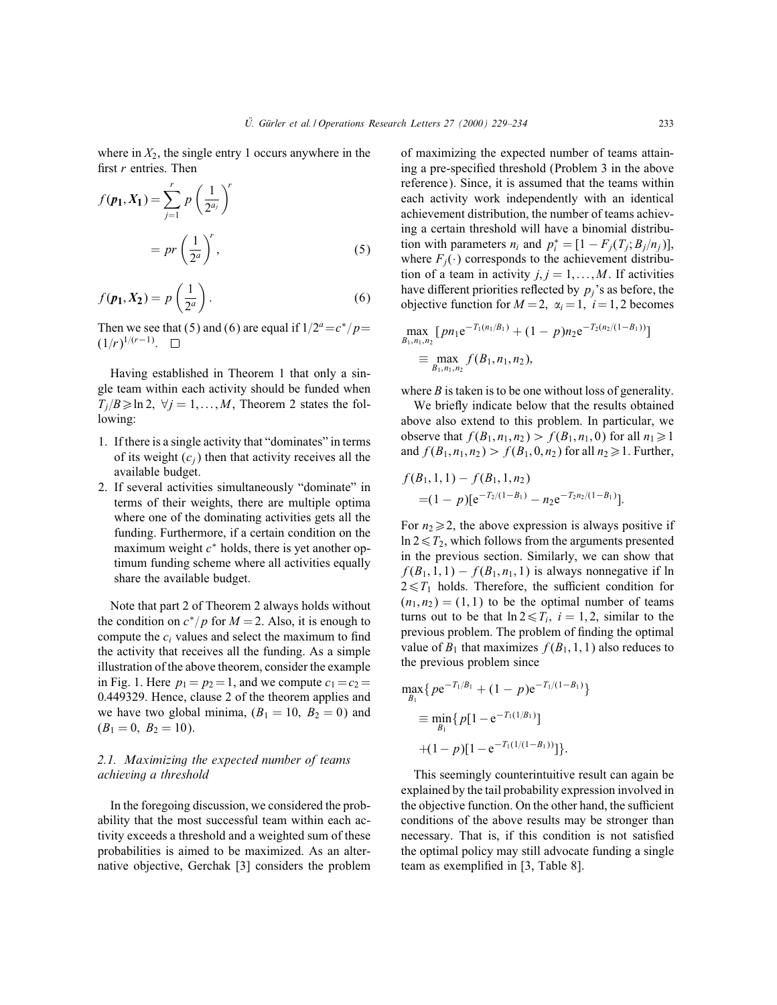where in  $X_2$ , the single entry 1 occurs anywhere in the first  $r$  entries. Then

$$
f(\mathbf{p_1}, \mathbf{X_1}) = \sum_{j=1}^{r} p\left(\frac{1}{2^{a_j}}\right)^r
$$

$$
= pr\left(\frac{1}{2^a}\right)^r,
$$
(5)

$$
f(\mathbf{p_1}, \mathbf{X_2}) = p\left(\frac{1}{2^a}\right). \tag{6}
$$

Then we see that (5) and (6) are equal if  $1/2^a=c^*/p=$  $(1/r)^{1/(r-1)}$ .  $\Box$ 

Having established in Theorem 1 that only a single team within each activity should be funded when  $T_i/B \geqslant \ln 2$ ,  $\forall j = 1,...,M$ , Theorem 2 states the following:

- 1. If there is a single activity that "dominates" in terms of its weight  $(c_i)$  then that activity receives all the available budget.
- 2. If several activities simultaneously "dominate" in terms of their weights, there are multiple optima where one of the dominating activities gets all the funding. Furthermore, if a certain condition on the maximum weight  $c^*$  holds, there is yet another optimum funding scheme where all activities equally share the available budget.

Note that part 2 of Theorem 2 always holds without the condition on  $c^*/p$  for  $M = 2$ . Also, it is enough to compute the  $c_i$  values and select the maximum to find the activity that receives all the funding. As a simple illustration of the above theorem, consider the example in Fig. 1. Here  $p_1 = p_2 = 1$ , and we compute  $c_1 = c_2 =$ 0:449329. Hence, clause 2 of the theorem applies and we have two global minima,  $(B_1 = 10, B_2 = 0)$  and  $(B_1 = 0, B_2 = 10).$ 

# 2.1. Maximizing the expected number of teams achieving a threshold

In the foregoing discussion, we considered the probability that the most successful team within each activity exceeds a threshold and a weighted sum of these probabilities is aimed to be maximized. As an alternative objective, Gerchak [3] considers the problem

of maximizing the expected number of teams attaining a pre-specied threshold (Problem 3 in the above reference). Since, it is assumed that the teams within each activity work independently with an identical achievement distribution, the number of teams achieving a certain threshold will have a binomial distribution with parameters  $n_i$  and  $p_i^* = [1 - F_j(T_j; B_j/n_j)],$ where  $F_i(\cdot)$  corresponds to the achievement distribution of a team in activity  $j, j = 1, \ldots, M$ . If activities have different priorities reflected by  $p_i$ 's as before, the objective function for  $M = 2$ ,  $\alpha_i = 1$ ,  $i = 1, 2$  becomes

$$
\max_{B_1,n_1,n_2} [pn_1 e^{-T_1(n_1/B_1)} + (1-p)n_2 e^{-T_2(n_2/(1-B_1))}]
$$
  
\n
$$
\equiv \max_{B_1,n_1,n_2} f(B_1,n_1,n_2),
$$

where  $B$  is taken is to be one without loss of generality.

We briefly indicate below that the results obtained above also extend to this problem. In particular, we observe that  $f(B_1, n_1, n_2) > f(B_1, n_1, 0)$  for all  $n_1 \geq 1$ and  $f(B_1, n_1, n_2) > f(B_1, 0, n_2)$  for all  $n_2 \ge 1$ . Further,

$$
f(B_1, 1, 1) - f(B_1, 1, n_2)
$$
  
=  $(1 - p)[e^{-T_2/(1 - B_1)} - n_2e^{-T_2n_2/(1 - B_1)}].$ 

For  $n_2 \geq 2$ , the above expression is always positive if  $\ln 2 \leq T_2$ , which follows from the arguments presented in the previous section. Similarly, we can show that  $f(B_1, 1, 1) - f(B_1, n_1, 1)$  is always nonnegative if ln  $2 \leq T_1$  holds. Therefore, the sufficient condition for  $(n_1, n_2) = (1, 1)$  to be the optimal number of teams turns out to be that  $\ln 2 \le T_i$ ,  $i = 1, 2$ , similar to the previous problem. The problem of finding the optimal value of  $B_1$  that maximizes  $f(B_1, 1, 1)$  also reduces to the previous problem since

$$
\max_{B_1} \{ p e^{-T_1/B_1} + (1 - p) e^{-T_1/(1 - B_1)} \}
$$
  
\n
$$
\equiv \min_{B_1} \{ p[1 - e^{-T_1(1/B_1)}]
$$
  
\n
$$
+ (1 - p)[1 - e^{-T_1(1/(1 - B_1))}] \}.
$$

This seemingly counterintuitive result can again be explained by the tail probability expression involved in the objective function. On the other hand, the sufficient conditions of the above results may be stronger than necessary. That is, if this condition is not satisfied the optimal policy may still advocate funding a single team as exemplified in [3, Table 8].